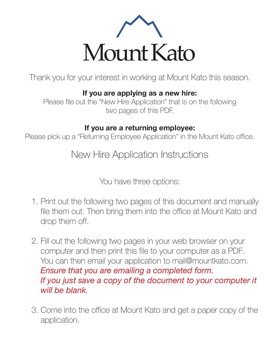

Thank you for your interest in working at Mount Kato this season.

**If you are applying as a new hire:** 

Please file out the "New Hire Application" that is on the following two pages of this PDF.

## **If you are a returning employee:**

Please pick up a "Returning Employee Application" in the Mount Kato office.

New Hire Application Instructions

You have three options:

- 1. Print out the following two pages of this document and manually file them out. Then bring them into the office at Mount Kato and drop them off.
- 2. Fill out the following two pages in your web browser on your computer and then print this file to your computer as a PDF. You can then email your application to mail@mountkato.com. *Ensure that you are emailing a completed form. If you just save a copy of the document to your computer it will be blank.*
- 3. Come into the office at Mount Kato and get a paper copy of the application.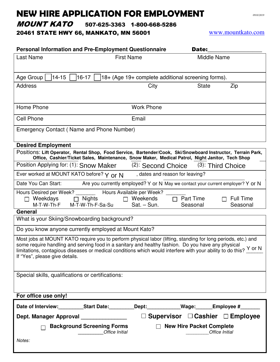## NEW HIRE APPLICATION FOR EMPLOYMENT *0910/2019*

MOUNT KATO 507-625-3363 1-800-668-5286

20461 STATE HWY 66, MANKATO, MN 56001 www.mountkato.com

| <b>Personal Information and Pre-Employment Questionnaire</b>                                                                                                                                                                                                                                                                                                                                   | Date:                             |                                                             |                       |                              |  |  |
|------------------------------------------------------------------------------------------------------------------------------------------------------------------------------------------------------------------------------------------------------------------------------------------------------------------------------------------------------------------------------------------------|-----------------------------------|-------------------------------------------------------------|-----------------------|------------------------------|--|--|
| <b>Last Name</b>                                                                                                                                                                                                                                                                                                                                                                               | <b>First Name</b>                 |                                                             |                       | Middle Name                  |  |  |
| Age Group<br>$14 - 15$<br>$16-17$<br>18+ (Age 19+ complete additional screening forms).                                                                                                                                                                                                                                                                                                        |                                   |                                                             |                       |                              |  |  |
| <b>Address</b>                                                                                                                                                                                                                                                                                                                                                                                 |                                   | City                                                        | <b>State</b>          | Zip                          |  |  |
| Home Phone                                                                                                                                                                                                                                                                                                                                                                                     |                                   | <b>Work Phone</b>                                           |                       |                              |  |  |
| <b>Cell Phone</b>                                                                                                                                                                                                                                                                                                                                                                              |                                   | Email                                                       |                       |                              |  |  |
| Emergency Contact (Name and Phone Number)                                                                                                                                                                                                                                                                                                                                                      |                                   |                                                             |                       |                              |  |  |
| <b>Desired Employment</b>                                                                                                                                                                                                                                                                                                                                                                      |                                   |                                                             |                       |                              |  |  |
| Positions: Lift Operator, Rental Shop, Food Service, Bartender/Cook, Ski/Snowboard Instructor, Terrain Park,<br>Office, Cashier/Ticket Sales, Maintenance, Snow Maker, Medical Patrol, Night Janitor, Tech Shop                                                                                                                                                                                |                                   |                                                             |                       |                              |  |  |
| Position Applying for: (1): Snow Maker                                                                                                                                                                                                                                                                                                                                                         |                                   | (2): Second Choice                                          |                       | $(3)$ : Third Choice         |  |  |
| Ever worked at MOUNT KATO before? Y or N<br>, dates and reason for leaving?                                                                                                                                                                                                                                                                                                                    |                                   |                                                             |                       |                              |  |  |
| Date You Can Start:<br>Are you currently employed? Y or N May we contact your current employer? Y or N                                                                                                                                                                                                                                                                                         |                                   |                                                             |                       |                              |  |  |
| Hours Desired per Week?<br>$\Box$ Weekdays<br>M-T-W-Th-F                                                                                                                                                                                                                                                                                                                                       | <b>Nights</b><br>M-T-W-Th-F-Sa-Su | Hours Available per Week?<br>$\Box$ Weekends<br>Sat. - Sun. | Part Time<br>Seasonal | <b>Full Time</b><br>Seasonal |  |  |
| General                                                                                                                                                                                                                                                                                                                                                                                        |                                   |                                                             |                       |                              |  |  |
| What is your Skiing/Snowboarding background?                                                                                                                                                                                                                                                                                                                                                   |                                   |                                                             |                       |                              |  |  |
| Do you know anyone currently employed at Mount Kato?                                                                                                                                                                                                                                                                                                                                           |                                   |                                                             |                       |                              |  |  |
| Most jobs at MOUNT KATO require you to perform physical labor (lifting, standing for long periods, etc.) and<br>some require handling and serving food in a sanitary and healthy fashion. Do you have any physical<br>limitations, contagious diseases or medical conditions which would interfere with your ability to do this? $\frac{Y \text{ or } N}{Y}$<br>If "Yes", please give details. |                                   |                                                             |                       |                              |  |  |
| Special skills, qualifications or certifications:                                                                                                                                                                                                                                                                                                                                              |                                   |                                                             |                       |                              |  |  |
| For office use only!                                                                                                                                                                                                                                                                                                                                                                           |                                   |                                                             |                       |                              |  |  |
|                                                                                                                                                                                                                                                                                                                                                                                                |                                   |                                                             |                       |                              |  |  |
| $\Box$ Supervisor $\Box$ Cashier $\Box$ Employee<br>Dept. Manager Approval _______________                                                                                                                                                                                                                                                                                                     |                                   |                                                             |                       |                              |  |  |
| <b>Background Screening Forms</b><br>$\Box$ New Hire Packet Complete<br>Office Initial<br>Office Initial                                                                                                                                                                                                                                                                                       |                                   |                                                             |                       |                              |  |  |
| Notes:                                                                                                                                                                                                                                                                                                                                                                                         |                                   |                                                             |                       |                              |  |  |